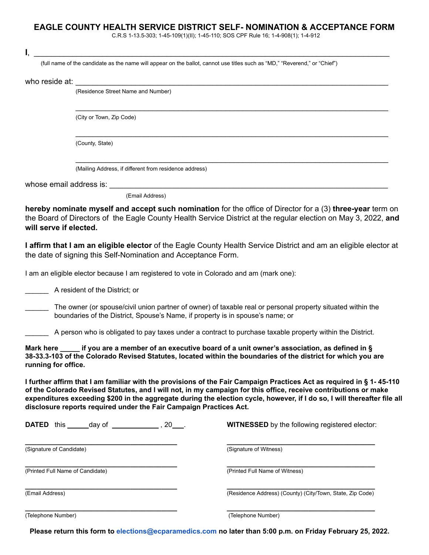## **EAGLE COUNTY HEALTH SERVICE DISTRICT SELF- NOMINATION & ACCEPTANCE FORM**

C.R.S 1-13.5-303; 1-45-109(1)(II); 1-45-110; SOS CPF Rule 16; 1-4-908(1); 1-4-912

|                                  |                                                                                                                            | C.R.S 1-13.5-303; 1-45-109(1)(II); 1-45-110; SOS CPF Rule 16; 1-4-908(1); 1-4-912                                                                                                                                                                                                                                                                                   |
|----------------------------------|----------------------------------------------------------------------------------------------------------------------------|---------------------------------------------------------------------------------------------------------------------------------------------------------------------------------------------------------------------------------------------------------------------------------------------------------------------------------------------------------------------|
| I.                               |                                                                                                                            |                                                                                                                                                                                                                                                                                                                                                                     |
|                                  | (full name of the candidate as the name will appear on the ballot, cannot use titles such as "MD," "Reverend," or "Chief") |                                                                                                                                                                                                                                                                                                                                                                     |
| who reside at:                   | <u> 1989 - John Stein, Amerikaansk politiker (* 1958)</u>                                                                  |                                                                                                                                                                                                                                                                                                                                                                     |
|                                  | (Residence Street Name and Number)                                                                                         |                                                                                                                                                                                                                                                                                                                                                                     |
|                                  | (City or Town, Zip Code)                                                                                                   |                                                                                                                                                                                                                                                                                                                                                                     |
|                                  | (County, State)                                                                                                            |                                                                                                                                                                                                                                                                                                                                                                     |
|                                  | (Mailing Address, if different from residence address)                                                                     |                                                                                                                                                                                                                                                                                                                                                                     |
|                                  |                                                                                                                            |                                                                                                                                                                                                                                                                                                                                                                     |
|                                  | (Email Address)                                                                                                            |                                                                                                                                                                                                                                                                                                                                                                     |
| will serve if elected.           |                                                                                                                            | hereby nominate myself and accept such nomination for the office of Director for a (3) three-year term on<br>the Board of Directors of the Eagle County Health Service District at the regular election on May 3, 2022, and                                                                                                                                         |
|                                  | the date of signing this Self-Nomination and Acceptance Form.                                                              | I affirm that I am an eligible elector of the Eagle County Health Service District and am an eligible elector at                                                                                                                                                                                                                                                    |
|                                  | I am an eligible elector because I am registered to vote in Colorado and am (mark one):                                    |                                                                                                                                                                                                                                                                                                                                                                     |
|                                  | A resident of the District; or                                                                                             |                                                                                                                                                                                                                                                                                                                                                                     |
|                                  | boundaries of the District, Spouse's Name, if property is in spouse's name; or                                             | The owner (or spouse/civil union partner of owner) of taxable real or personal property situated within the                                                                                                                                                                                                                                                         |
|                                  |                                                                                                                            | A person who is obligated to pay taxes under a contract to purchase taxable property within the District.                                                                                                                                                                                                                                                           |
| Mark here<br>running for office. |                                                                                                                            | ____ if you are a member of an executive board of a unit owner's association, as defined in §<br>38-33.3-103 of the Colorado Revised Statutes, located within the boundaries of the district for which you are                                                                                                                                                      |
|                                  | disclosure reports required under the Fair Campaign Practices Act.                                                         | I further affirm that I am familiar with the provisions of the Fair Campaign Practices Act as required in § 1-45-110<br>of the Colorado Revised Statutes, and I will not, in my campaign for this office, receive contributions or make<br>expenditures exceeding \$200 in the aggregate during the election cycle, however, if I do so, I will thereafter file all |
|                                  | <b>DATED</b> this _______ day of ________________, 20____.                                                                 | <b>WITNESSED</b> by the following registered elector:                                                                                                                                                                                                                                                                                                               |
| (Signature of Candidate)         |                                                                                                                            | (Signature of Witness)                                                                                                                                                                                                                                                                                                                                              |
|                                  | (Printed Full Name of Candidate)                                                                                           | (Printed Full Name of Witness)                                                                                                                                                                                                                                                                                                                                      |
| (Email Address)                  |                                                                                                                            | (Residence Address) (County) (City/Town, State, Zip Code)                                                                                                                                                                                                                                                                                                           |
|                                  |                                                                                                                            |                                                                                                                                                                                                                                                                                                                                                                     |

(Telephone Number) (Telephone Number)

**Please return this form to [elections@ecparamedics.com](mailto:elections@ecparamedics.com) no later than 5:00 p.m. on Friday February 25, 2022.**